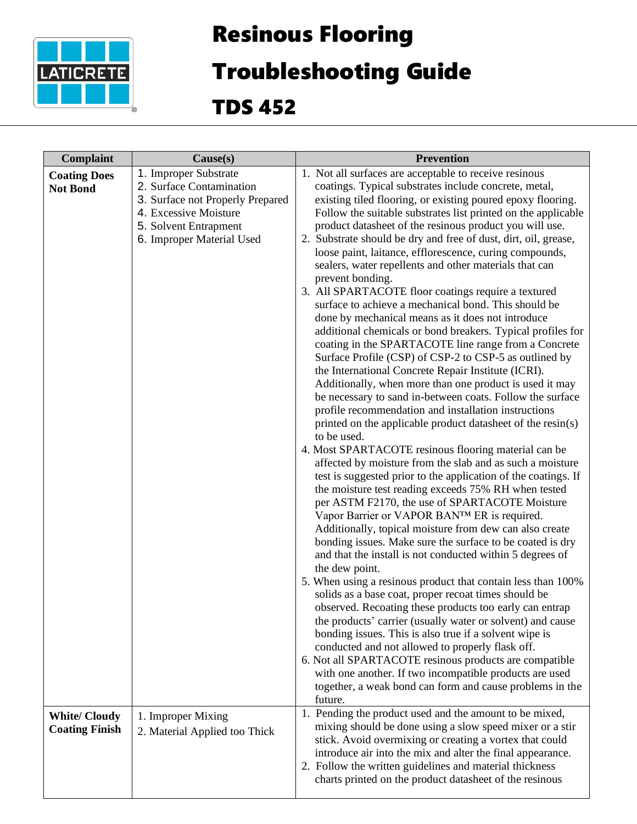

## Resinous Flooring

## Troubleshooting Guide

TDS 452

| Complaint                                    | Cause(s)                                                                                                                                                             | <b>Prevention</b>                                                                                                                                                                                                                                                                                                                                                                                                                                                                                                                                                                                                                                                                                                                                                                                                                                                                                                                                                                                                                                                                                                                                                                                                                                                                                                                                                                                                                                                                                                                                                                                                                                                                                                                                                                                                                                                                                                                                                                                                                                                                                                                                                                                                                                                                                                  |
|----------------------------------------------|----------------------------------------------------------------------------------------------------------------------------------------------------------------------|--------------------------------------------------------------------------------------------------------------------------------------------------------------------------------------------------------------------------------------------------------------------------------------------------------------------------------------------------------------------------------------------------------------------------------------------------------------------------------------------------------------------------------------------------------------------------------------------------------------------------------------------------------------------------------------------------------------------------------------------------------------------------------------------------------------------------------------------------------------------------------------------------------------------------------------------------------------------------------------------------------------------------------------------------------------------------------------------------------------------------------------------------------------------------------------------------------------------------------------------------------------------------------------------------------------------------------------------------------------------------------------------------------------------------------------------------------------------------------------------------------------------------------------------------------------------------------------------------------------------------------------------------------------------------------------------------------------------------------------------------------------------------------------------------------------------------------------------------------------------------------------------------------------------------------------------------------------------------------------------------------------------------------------------------------------------------------------------------------------------------------------------------------------------------------------------------------------------------------------------------------------------------------------------------------------------|
| <b>Coating Does</b><br><b>Not Bond</b>       | 1. Improper Substrate<br>2. Surface Contamination<br>3. Surface not Properly Prepared<br>4. Excessive Moisture<br>5. Solvent Entrapment<br>6. Improper Material Used | 1. Not all surfaces are acceptable to receive resinous<br>coatings. Typical substrates include concrete, metal,<br>existing tiled flooring, or existing poured epoxy flooring.<br>Follow the suitable substrates list printed on the applicable<br>product datasheet of the resinous product you will use.<br>2. Substrate should be dry and free of dust, dirt, oil, grease,<br>loose paint, laitance, efflorescence, curing compounds,<br>sealers, water repellents and other materials that can<br>prevent bonding.<br>3. All SPARTACOTE floor coatings require a textured<br>surface to achieve a mechanical bond. This should be<br>done by mechanical means as it does not introduce<br>additional chemicals or bond breakers. Typical profiles for<br>coating in the SPARTACOTE line range from a Concrete<br>Surface Profile (CSP) of CSP-2 to CSP-5 as outlined by<br>the International Concrete Repair Institute (ICRI).<br>Additionally, when more than one product is used it may<br>be necessary to sand in-between coats. Follow the surface<br>profile recommendation and installation instructions<br>printed on the applicable product datasheet of the resin(s)<br>to be used.<br>4. Most SPARTACOTE resinous flooring material can be<br>affected by moisture from the slab and as such a moisture<br>test is suggested prior to the application of the coatings. If<br>the moisture test reading exceeds 75% RH when tested<br>per ASTM F2170, the use of SPARTACOTE Moisture<br>Vapor Barrier or VAPOR BAN™ ER is required.<br>Additionally, topical moisture from dew can also create<br>bonding issues. Make sure the surface to be coated is dry<br>and that the install is not conducted within 5 degrees of<br>the dew point.<br>5. When using a resinous product that contain less than 100%<br>solids as a base coat, proper recoat times should be<br>observed. Recoating these products too early can entrap<br>the products' carrier (usually water or solvent) and cause<br>bonding issues. This is also true if a solvent wipe is<br>conducted and not allowed to properly flask off.<br>6. Not all SPARTACOTE resinous products are compatible<br>with one another. If two incompatible products are used<br>together, a weak bond can form and cause problems in the<br>future. |
| <b>White/Cloudy</b><br><b>Coating Finish</b> | 1. Improper Mixing<br>2. Material Applied too Thick                                                                                                                  | 1. Pending the product used and the amount to be mixed,<br>mixing should be done using a slow speed mixer or a stir<br>stick. Avoid overmixing or creating a vortex that could<br>introduce air into the mix and alter the final appearance.<br>2. Follow the written guidelines and material thickness<br>charts printed on the product datasheet of the resinous                                                                                                                                                                                                                                                                                                                                                                                                                                                                                                                                                                                                                                                                                                                                                                                                                                                                                                                                                                                                                                                                                                                                                                                                                                                                                                                                                                                                                                                                                                                                                                                                                                                                                                                                                                                                                                                                                                                                                 |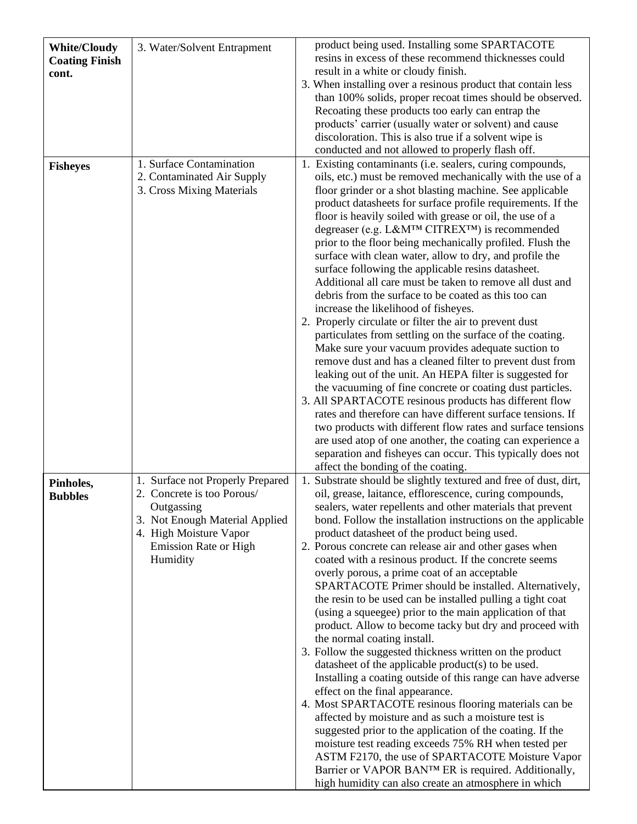| <b>White/Cloudy</b><br><b>Coating Finish</b><br>cont. | 3. Water/Solvent Entrapment                                                                                                                                                   | product being used. Installing some SPARTACOTE<br>resins in excess of these recommend thicknesses could<br>result in a white or cloudy finish.<br>3. When installing over a resinous product that contain less<br>than 100% solids, proper recoat times should be observed.<br>Recoating these products too early can entrap the<br>products' carrier (usually water or solvent) and cause<br>discoloration. This is also true if a solvent wipe is<br>conducted and not allowed to properly flash off.                                                                                                                                                                                                                                                                                                                                                                                                                                                                                                                                                                                                                                                                                                                                                                                                                                                                                                                                |
|-------------------------------------------------------|-------------------------------------------------------------------------------------------------------------------------------------------------------------------------------|----------------------------------------------------------------------------------------------------------------------------------------------------------------------------------------------------------------------------------------------------------------------------------------------------------------------------------------------------------------------------------------------------------------------------------------------------------------------------------------------------------------------------------------------------------------------------------------------------------------------------------------------------------------------------------------------------------------------------------------------------------------------------------------------------------------------------------------------------------------------------------------------------------------------------------------------------------------------------------------------------------------------------------------------------------------------------------------------------------------------------------------------------------------------------------------------------------------------------------------------------------------------------------------------------------------------------------------------------------------------------------------------------------------------------------------|
| <b>Fisheyes</b>                                       | 1. Surface Contamination<br>2. Contaminated Air Supply<br>3. Cross Mixing Materials                                                                                           | 1. Existing contaminants (i.e. sealers, curing compounds,<br>oils, etc.) must be removed mechanically with the use of a<br>floor grinder or a shot blasting machine. See applicable<br>product datasheets for surface profile requirements. If the<br>floor is heavily soiled with grease or oil, the use of a<br>degreaser (e.g. L&M™ CITREX™) is recommended<br>prior to the floor being mechanically profiled. Flush the<br>surface with clean water, allow to dry, and profile the<br>surface following the applicable resins datasheet.<br>Additional all care must be taken to remove all dust and<br>debris from the surface to be coated as this too can<br>increase the likelihood of fisheyes.<br>2. Properly circulate or filter the air to prevent dust<br>particulates from settling on the surface of the coating.<br>Make sure your vacuum provides adequate suction to<br>remove dust and has a cleaned filter to prevent dust from<br>leaking out of the unit. An HEPA filter is suggested for<br>the vacuuming of fine concrete or coating dust particles.<br>3. All SPARTACOTE resinous products has different flow<br>rates and therefore can have different surface tensions. If<br>two products with different flow rates and surface tensions<br>are used atop of one another, the coating can experience a<br>separation and fisheyes can occur. This typically does not<br>affect the bonding of the coating. |
| Pinholes,<br><b>Bubbles</b>                           | 1. Surface not Properly Prepared<br>2. Concrete is too Porous/<br>Outgassing<br>3. Not Enough Material Applied<br>4. High Moisture Vapor<br>Emission Rate or High<br>Humidity | 1. Substrate should be slightly textured and free of dust, dirt,<br>oil, grease, laitance, efflorescence, curing compounds,<br>sealers, water repellents and other materials that prevent<br>bond. Follow the installation instructions on the applicable<br>product datasheet of the product being used.<br>2. Porous concrete can release air and other gases when<br>coated with a resinous product. If the concrete seems<br>overly porous, a prime coat of an acceptable<br>SPARTACOTE Primer should be installed. Alternatively,<br>the resin to be used can be installed pulling a tight coat<br>(using a squeegee) prior to the main application of that<br>product. Allow to become tacky but dry and proceed with<br>the normal coating install.<br>3. Follow the suggested thickness written on the product<br>datasheet of the applicable product(s) to be used.<br>Installing a coating outside of this range can have adverse<br>effect on the final appearance.<br>4. Most SPARTACOTE resinous flooring materials can be<br>affected by moisture and as such a moisture test is<br>suggested prior to the application of the coating. If the<br>moisture test reading exceeds 75% RH when tested per<br>ASTM F2170, the use of SPARTACOTE Moisture Vapor<br>Barrier or VAPOR BANTM ER is required. Additionally,<br>high humidity can also create an atmosphere in which                                                |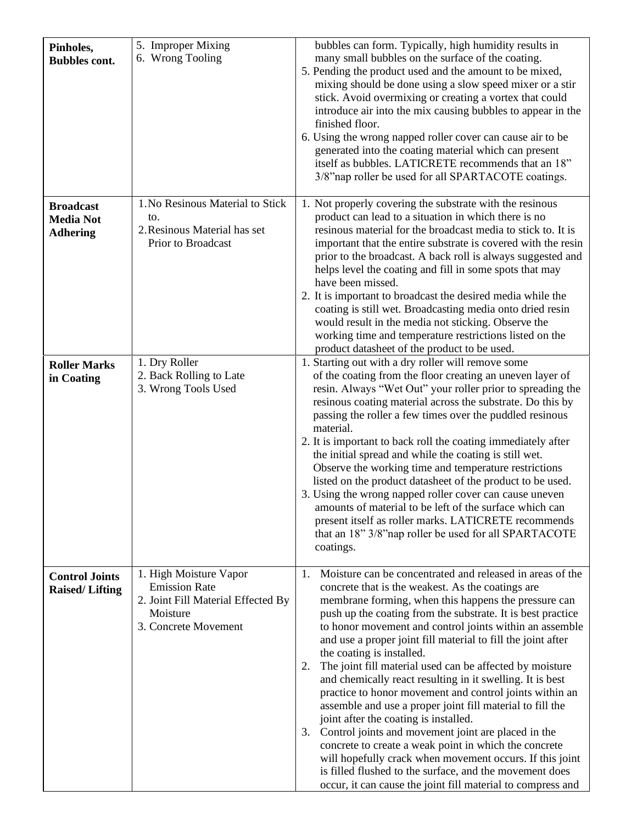| Pinholes,<br><b>Bubbles cont.</b>                       | 5. Improper Mixing<br>6. Wrong Tooling                                                                                   | bubbles can form. Typically, high humidity results in<br>many small bubbles on the surface of the coating.<br>5. Pending the product used and the amount to be mixed,<br>mixing should be done using a slow speed mixer or a stir<br>stick. Avoid overmixing or creating a vortex that could<br>introduce air into the mix causing bubbles to appear in the<br>finished floor.<br>6. Using the wrong napped roller cover can cause air to be<br>generated into the coating material which can present<br>itself as bubbles. LATICRETE recommends that an 18"<br>3/8" nap roller be used for all SPARTACOTE coatings.                                                                                                                                                                                                                                                                                                                                                                                            |
|---------------------------------------------------------|--------------------------------------------------------------------------------------------------------------------------|-----------------------------------------------------------------------------------------------------------------------------------------------------------------------------------------------------------------------------------------------------------------------------------------------------------------------------------------------------------------------------------------------------------------------------------------------------------------------------------------------------------------------------------------------------------------------------------------------------------------------------------------------------------------------------------------------------------------------------------------------------------------------------------------------------------------------------------------------------------------------------------------------------------------------------------------------------------------------------------------------------------------|
| <b>Broadcast</b><br><b>Media Not</b><br><b>Adhering</b> | 1. No Resinous Material to Stick<br>to.<br>2. Resinous Material has set<br>Prior to Broadcast                            | 1. Not properly covering the substrate with the resinous<br>product can lead to a situation in which there is no<br>resinous material for the broadcast media to stick to. It is<br>important that the entire substrate is covered with the resin<br>prior to the broadcast. A back roll is always suggested and<br>helps level the coating and fill in some spots that may<br>have been missed.<br>2. It is important to broadcast the desired media while the<br>coating is still wet. Broadcasting media onto dried resin<br>would result in the media not sticking. Observe the<br>working time and temperature restrictions listed on the<br>product datasheet of the product to be used.                                                                                                                                                                                                                                                                                                                  |
| <b>Roller Marks</b><br>in Coating                       | 1. Dry Roller<br>2. Back Rolling to Late<br>3. Wrong Tools Used                                                          | 1. Starting out with a dry roller will remove some<br>of the coating from the floor creating an uneven layer of<br>resin. Always "Wet Out" your roller prior to spreading the<br>resinous coating material across the substrate. Do this by<br>passing the roller a few times over the puddled resinous<br>material.<br>2. It is important to back roll the coating immediately after<br>the initial spread and while the coating is still wet.<br>Observe the working time and temperature restrictions<br>listed on the product datasheet of the product to be used.<br>3. Using the wrong napped roller cover can cause uneven<br>amounts of material to be left of the surface which can<br>present itself as roller marks. LATICRETE recommends<br>that an 18" 3/8" nap roller be used for all SPARTACOTE<br>coatings.                                                                                                                                                                                     |
| <b>Control Joints</b><br><b>Raised/Lifting</b>          | 1. High Moisture Vapor<br><b>Emission Rate</b><br>2. Joint Fill Material Effected By<br>Moisture<br>3. Concrete Movement | Moisture can be concentrated and released in areas of the<br>1.<br>concrete that is the weakest. As the coatings are<br>membrane forming, when this happens the pressure can<br>push up the coating from the substrate. It is best practice<br>to honor movement and control joints within an assemble<br>and use a proper joint fill material to fill the joint after<br>the coating is installed.<br>The joint fill material used can be affected by moisture<br>2.<br>and chemically react resulting in it swelling. It is best<br>practice to honor movement and control joints within an<br>assemble and use a proper joint fill material to fill the<br>joint after the coating is installed.<br>Control joints and movement joint are placed in the<br>3.<br>concrete to create a weak point in which the concrete<br>will hopefully crack when movement occurs. If this joint<br>is filled flushed to the surface, and the movement does<br>occur, it can cause the joint fill material to compress and |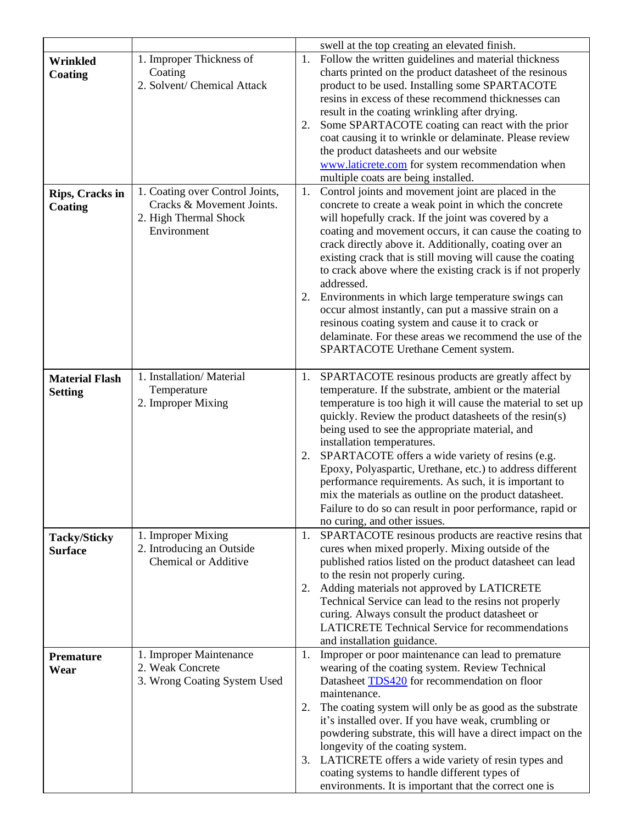|                                         |                                                                                                      |                | swell at the top creating an elevated finish.                                                                                                                                                                                                                                                                                                                                                                                                                                                                                                                                                                                                                                                              |
|-----------------------------------------|------------------------------------------------------------------------------------------------------|----------------|------------------------------------------------------------------------------------------------------------------------------------------------------------------------------------------------------------------------------------------------------------------------------------------------------------------------------------------------------------------------------------------------------------------------------------------------------------------------------------------------------------------------------------------------------------------------------------------------------------------------------------------------------------------------------------------------------------|
| <b>Wrinkled</b><br>Coating              | 1. Improper Thickness of<br>Coating<br>2. Solvent/ Chemical Attack                                   | 1.<br>2.       | Follow the written guidelines and material thickness<br>charts printed on the product datasheet of the resinous<br>product to be used. Installing some SPARTACOTE<br>resins in excess of these recommend thicknesses can<br>result in the coating wrinkling after drying.<br>Some SPARTACOTE coating can react with the prior<br>coat causing it to wrinkle or delaminate. Please review<br>the product datasheets and our website<br>www.laticrete.com for system recommendation when<br>multiple coats are being installed.                                                                                                                                                                              |
| Rips, Cracks in<br>Coating              | 1. Coating over Control Joints,<br>Cracks & Movement Joints.<br>2. High Thermal Shock<br>Environment | 1.             | Control joints and movement joint are placed in the<br>concrete to create a weak point in which the concrete<br>will hopefully crack. If the joint was covered by a<br>coating and movement occurs, it can cause the coating to<br>crack directly above it. Additionally, coating over an<br>existing crack that is still moving will cause the coating<br>to crack above where the existing crack is if not properly<br>addressed.<br>2. Environments in which large temperature swings can<br>occur almost instantly, can put a massive strain on a<br>resinous coating system and cause it to crack or<br>delaminate. For these areas we recommend the use of the<br>SPARTACOTE Urethane Cement system. |
| <b>Material Flash</b><br><b>Setting</b> | 1. Installation/Material<br>Temperature<br>2. Improper Mixing                                        | 1.<br>2.       | SPARTACOTE resinous products are greatly affect by<br>temperature. If the substrate, ambient or the material<br>temperature is too high it will cause the material to set up<br>quickly. Review the product datasheets of the resin(s)<br>being used to see the appropriate material, and<br>installation temperatures.<br>SPARTACOTE offers a wide variety of resins (e.g.<br>Epoxy, Polyaspartic, Urethane, etc.) to address different<br>performance requirements. As such, it is important to<br>mix the materials as outline on the product datasheet.<br>Failure to do so can result in poor performance, rapid or<br>no curing, and other issues.                                                   |
| <b>Tacky/Sticky</b><br><b>Surface</b>   | 1. Improper Mixing<br>2. Introducing an Outside<br><b>Chemical or Additive</b>                       | 1.<br>2.       | SPARTACOTE resinous products are reactive resins that<br>cures when mixed properly. Mixing outside of the<br>published ratios listed on the product datasheet can lead<br>to the resin not properly curing.<br>Adding materials not approved by LATICRETE<br>Technical Service can lead to the resins not properly<br>curing. Always consult the product datasheet or<br><b>LATICRETE Technical Service for recommendations</b><br>and installation guidance.                                                                                                                                                                                                                                              |
| <b>Premature</b><br>Wear                | 1. Improper Maintenance<br>2. Weak Concrete<br>3. Wrong Coating System Used                          | 1.<br>2.<br>3. | Improper or poor maintenance can lead to premature<br>wearing of the coating system. Review Technical<br>Datasheet <b>TDS420</b> for recommendation on floor<br>maintenance.<br>The coating system will only be as good as the substrate<br>it's installed over. If you have weak, crumbling or<br>powdering substrate, this will have a direct impact on the<br>longevity of the coating system.<br>LATICRETE offers a wide variety of resin types and<br>coating systems to handle different types of<br>environments. It is important that the correct one is                                                                                                                                           |